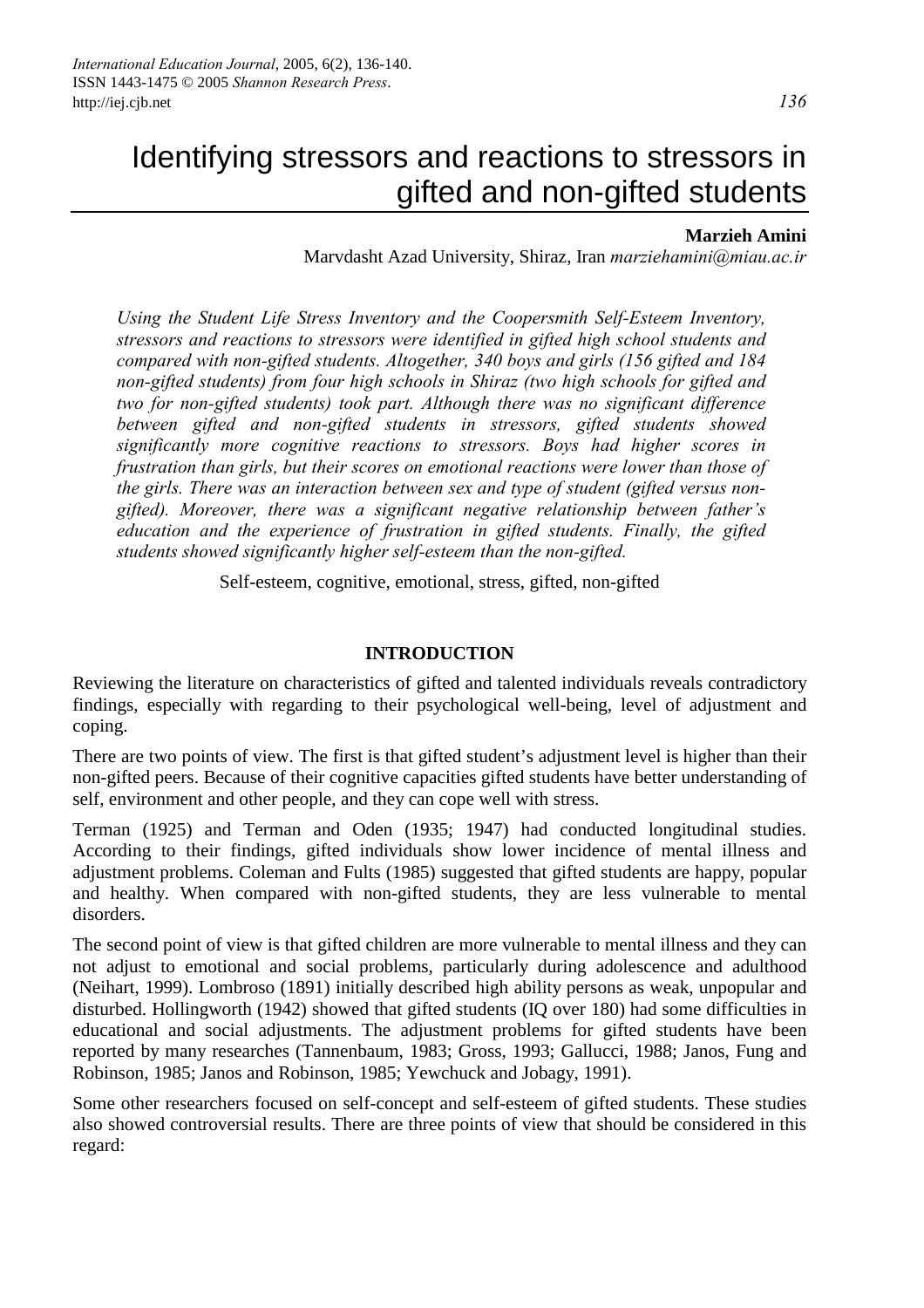### **Marzieh Amini**

Marvdasht Azad University, Shiraz, Iran *marziehamini@miau.ac.ir*

*Using the Student Life Stress Inventory and the Coopersmith Self-Esteem Inventory, stressors and reactions to stressors were identified in gifted high school students and compared with non-gifted students. Altogether, 340 boys and girls (156 gifted and 184 non-gifted students) from four high schools in Shiraz (two high schools for gifted and two for non-gifted students) took part. Although there was no significant difference between gifted and non-gifted students in stressors, gifted students showed significantly more cognitive reactions to stressors. Boys had higher scores in frustration than girls, but their scores on emotional reactions were lower than those of the girls. There was an interaction between sex and type of student (gifted versus nongifted). Moreover, there was a significant negative relationship between father's education and the experience of frustration in gifted students. Finally, the gifted students showed significantly higher self-esteem than the non-gifted.* 

Self-esteem, cognitive, emotional, stress, gifted, non-gifted

#### **INTRODUCTION**

Reviewing the literature on characteristics of gifted and talented individuals reveals contradictory findings, especially with regarding to their psychological well-being, level of adjustment and coping.

There are two points of view. The first is that gifted student's adjustment level is higher than their non-gifted peers. Because of their cognitive capacities gifted students have better understanding of self, environment and other people, and they can cope well with stress.

Terman (1925) and Terman and Oden (1935; 1947) had conducted longitudinal studies. According to their findings, gifted individuals show lower incidence of mental illness and adjustment problems. Coleman and Fults (1985) suggested that gifted students are happy, popular and healthy. When compared with non-gifted students, they are less vulnerable to mental disorders.

The second point of view is that gifted children are more vulnerable to mental illness and they can not adjust to emotional and social problems, particularly during adolescence and adulthood (Neihart, 1999). Lombroso (1891) initially described high ability persons as weak, unpopular and disturbed. Hollingworth (1942) showed that gifted students (IQ over 180) had some difficulties in educational and social adjustments. The adjustment problems for gifted students have been reported by many researches (Tannenbaum, 1983; Gross, 1993; Gallucci, 1988; Janos, Fung and Robinson, 1985; Janos and Robinson, 1985; Yewchuck and Jobagy, 1991).

Some other researchers focused on self-concept and self-esteem of gifted students. These studies also showed controversial results. There are three points of view that should be considered in this regard: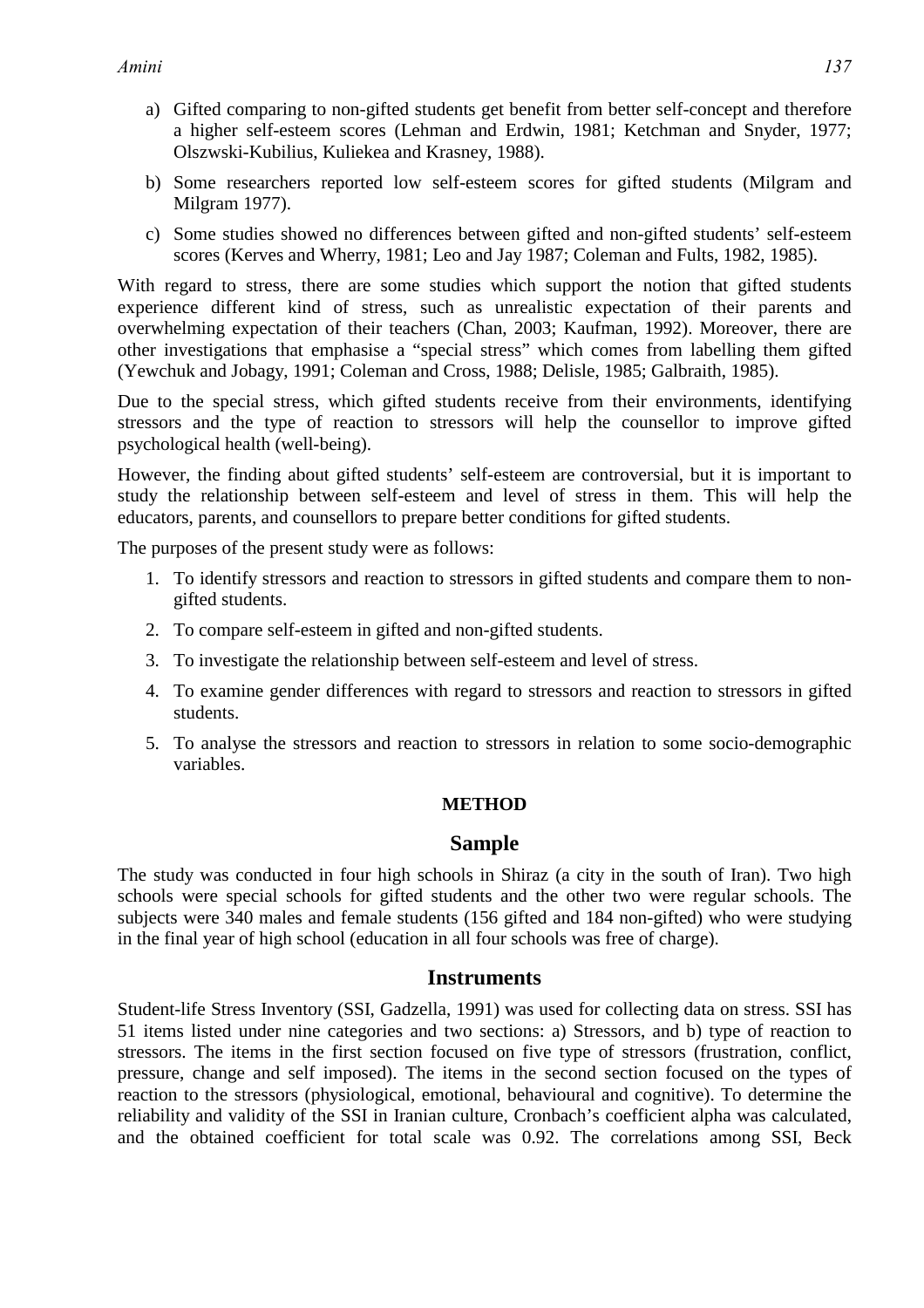- a) Gifted comparing to non-gifted students get benefit from better self-concept and therefore a higher self-esteem scores (Lehman and Erdwin, 1981; Ketchman and Snyder, 1977; Olszwski-Kubilius, Kuliekea and Krasney, 1988).
- b) Some researchers reported low self-esteem scores for gifted students (Milgram and Milgram 1977).
- c) Some studies showed no differences between gifted and non-gifted students' self-esteem scores (Kerves and Wherry, 1981; Leo and Jay 1987; Coleman and Fults, 1982, 1985).

With regard to stress, there are some studies which support the notion that gifted students experience different kind of stress, such as unrealistic expectation of their parents and overwhelming expectation of their teachers (Chan, 2003; Kaufman, 1992). Moreover, there are other investigations that emphasise a "special stress" which comes from labelling them gifted (Yewchuk and Jobagy, 1991; Coleman and Cross, 1988; Delisle, 1985; Galbraith, 1985).

Due to the special stress, which gifted students receive from their environments, identifying stressors and the type of reaction to stressors will help the counsellor to improve gifted psychological health (well-being).

However, the finding about gifted students' self-esteem are controversial, but it is important to study the relationship between self-esteem and level of stress in them. This will help the educators, parents, and counsellors to prepare better conditions for gifted students.

The purposes of the present study were as follows:

- 1. To identify stressors and reaction to stressors in gifted students and compare them to nongifted students.
- 2. To compare self-esteem in gifted and non-gifted students.
- 3. To investigate the relationship between self-esteem and level of stress.
- 4. To examine gender differences with regard to stressors and reaction to stressors in gifted students.
- 5. To analyse the stressors and reaction to stressors in relation to some socio-demographic variables.

# **METHOD**

# **Sample**

The study was conducted in four high schools in Shiraz (a city in the south of Iran). Two high schools were special schools for gifted students and the other two were regular schools. The subjects were 340 males and female students (156 gifted and 184 non-gifted) who were studying in the final year of high school (education in all four schools was free of charge).

# **Instruments**

Student-life Stress Inventory (SSI, Gadzella, 1991) was used for collecting data on stress. SSI has 51 items listed under nine categories and two sections: a) Stressors, and b) type of reaction to stressors. The items in the first section focused on five type of stressors (frustration, conflict, pressure, change and self imposed). The items in the second section focused on the types of reaction to the stressors (physiological, emotional, behavioural and cognitive). To determine the reliability and validity of the SSI in Iranian culture, Cronbach's coefficient alpha was calculated, and the obtained coefficient for total scale was 0.92. The correlations among SSI, Beck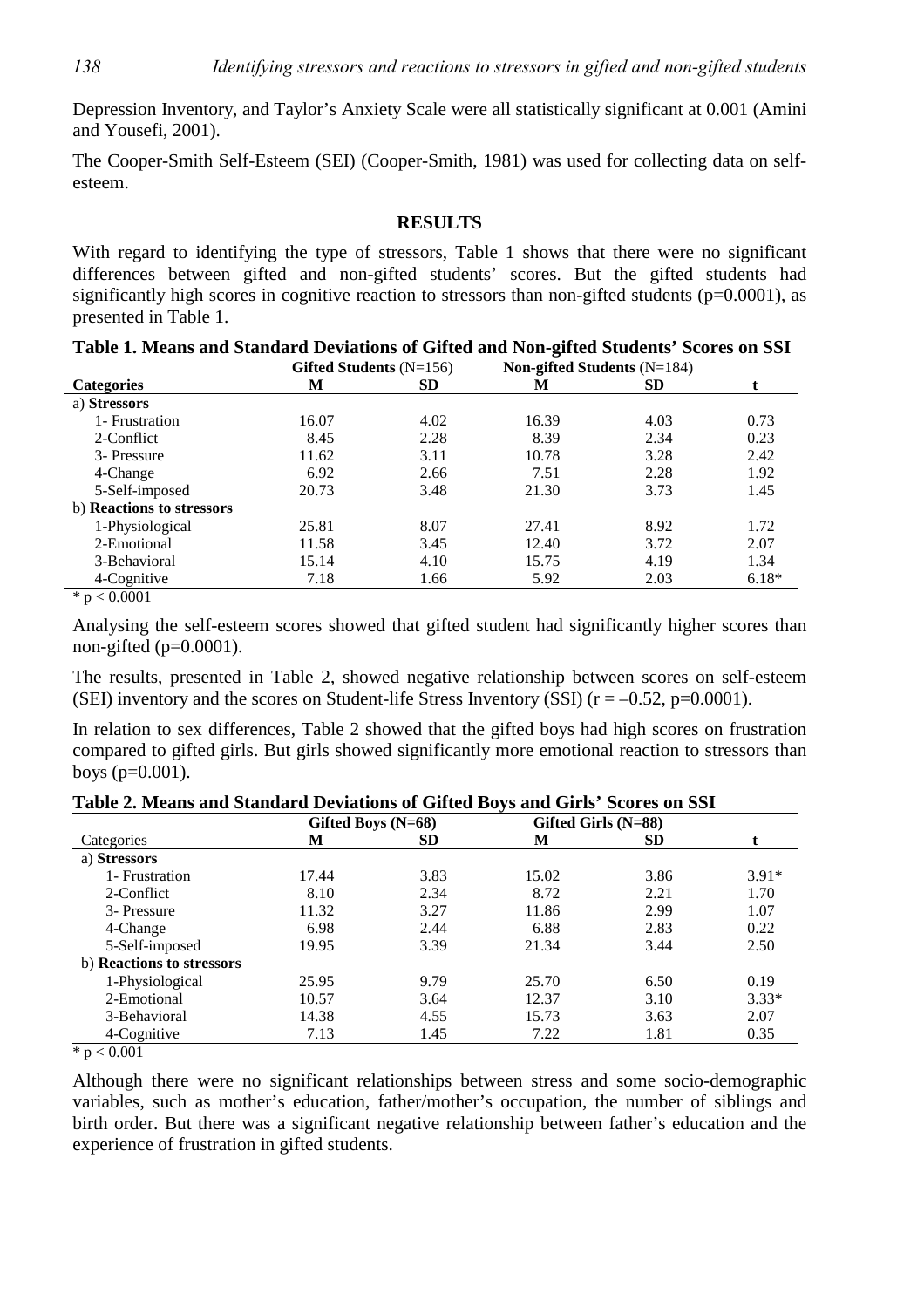Depression Inventory, and Taylor's Anxiety Scale were all statistically significant at 0.001 (Amini and Yousefi, 2001).

The Cooper-Smith Self-Esteem (SEI) (Cooper-Smith, 1981) was used for collecting data on selfesteem.

### **RESULTS**

With regard to identifying the type of stressors, Table 1 shows that there were no significant differences between gifted and non-gifted students' scores. But the gifted students had significantly high scores in cognitive reaction to stressors than non-gifted students ( $p=0.0001$ ), as presented in Table 1.

| Table 1. Means and blandard Deviations of Girled and Foll-girled bladents. Devi es on DDI |                           |           |                               |           |         |  |  |  |
|-------------------------------------------------------------------------------------------|---------------------------|-----------|-------------------------------|-----------|---------|--|--|--|
|                                                                                           | Gifted Students $(N=156)$ |           | Non-gifted Students $(N=184)$ |           |         |  |  |  |
| <b>Categories</b>                                                                         | М                         | <b>SD</b> | М                             | <b>SD</b> |         |  |  |  |
| a) Stressors                                                                              |                           |           |                               |           |         |  |  |  |
| 1- Frustration                                                                            | 16.07                     | 4.02      | 16.39                         | 4.03      | 0.73    |  |  |  |
| 2-Conflict                                                                                | 8.45                      | 2.28      | 8.39                          | 2.34      | 0.23    |  |  |  |
| 3- Pressure                                                                               | 11.62                     | 3.11      | 10.78                         | 3.28      | 2.42    |  |  |  |
| 4-Change                                                                                  | 6.92                      | 2.66      | 7.51                          | 2.28      | 1.92    |  |  |  |
| 5-Self-imposed                                                                            | 20.73                     | 3.48      | 21.30                         | 3.73      | 1.45    |  |  |  |
| b) Reactions to stressors                                                                 |                           |           |                               |           |         |  |  |  |
| 1-Physiological                                                                           | 25.81                     | 8.07      | 27.41                         | 8.92      | 1.72    |  |  |  |
| 2-Emotional                                                                               | 11.58                     | 3.45      | 12.40                         | 3.72      | 2.07    |  |  |  |
| 3-Behavioral                                                                              | 15.14                     | 4.10      | 15.75                         | 4.19      | 1.34    |  |  |  |
| 4-Cognitive                                                                               | 7.18                      | 1.66      | 5.92                          | 2.03      | $6.18*$ |  |  |  |
| $\mathcal{L}$ $\Omega$ $\Omega$                                                           |                           |           |                               |           |         |  |  |  |

|  |  |  |  |  |  | Table 1. Means and Standard Deviations of Gifted and Non-gifted Students' Scores on SSI |  |
|--|--|--|--|--|--|-----------------------------------------------------------------------------------------|--|
|--|--|--|--|--|--|-----------------------------------------------------------------------------------------|--|

 $*$  p  $< 0.0001$ 

Analysing the self-esteem scores showed that gifted student had significantly higher scores than non-gifted  $(p=0.0001)$ .

The results, presented in Table 2, showed negative relationship between scores on self-esteem (SEI) inventory and the scores on Student-life Stress Inventory (SSI) ( $r = -0.52$ ,  $p = 0.0001$ ).

In relation to sex differences, Table 2 showed that the gifted boys had high scores on frustration compared to gifted girls. But girls showed significantly more emotional reaction to stressors than boys (p=0.001).

| Gifted Boys (N=68) |           |       |           |                     |
|--------------------|-----------|-------|-----------|---------------------|
| М                  | <b>SD</b> | М     | <b>SD</b> |                     |
|                    |           |       |           |                     |
| 17.44              | 3.83      | 15.02 | 3.86      | $3.91*$             |
| 8.10               | 2.34      | 8.72  | 2.21      | 1.70                |
| 11.32              | 3.27      | 11.86 | 2.99      | 1.07                |
| 6.98               | 2.44      | 6.88  | 2.83      | 0.22                |
| 19.95              | 3.39      | 21.34 | 3.44      | 2.50                |
|                    |           |       |           |                     |
| 25.95              | 9.79      | 25.70 | 6.50      | 0.19                |
| 10.57              | 3.64      | 12.37 | 3.10      | $3.33*$             |
| 14.38              | 4.55      | 15.73 | 3.63      | 2.07                |
| 7.13               | 1.45      | 7.22  | 1.81      | 0.35                |
|                    |           |       |           | Gifted Girls (N=88) |

**Table 2. Means and Standard Deviations of Gifted Boys and Girls' Scores on SSI** 

 $\frac{}{\ast} p < 0.001$ 

Although there were no significant relationships between stress and some socio-demographic variables, such as mother's education, father/mother's occupation, the number of siblings and birth order. But there was a significant negative relationship between father's education and the experience of frustration in gifted students.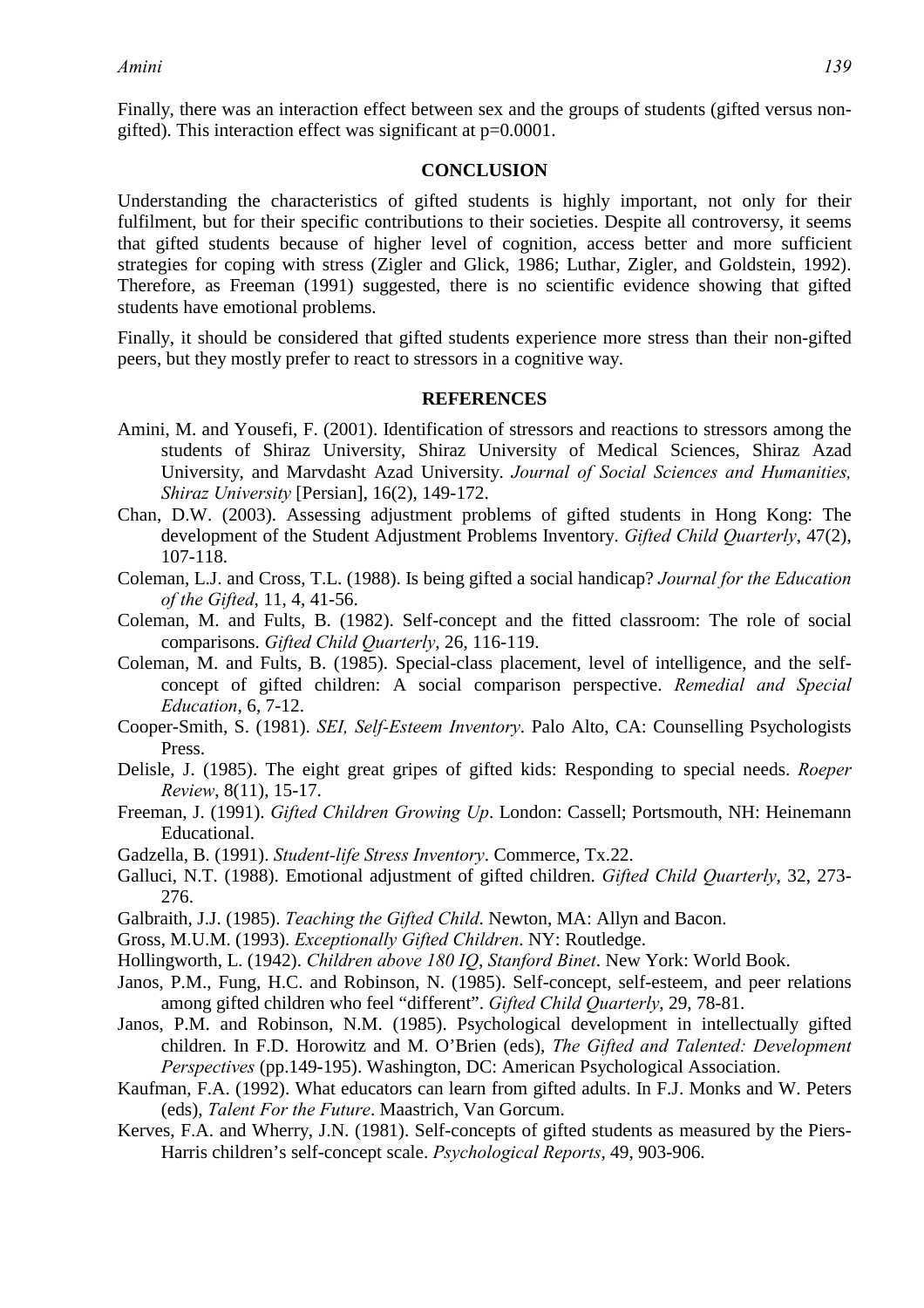Finally, there was an interaction effect between sex and the groups of students (gifted versus nongifted). This interaction effect was significant at p=0.0001.

### **CONCLUSION**

Understanding the characteristics of gifted students is highly important, not only for their fulfilment, but for their specific contributions to their societies. Despite all controversy, it seems that gifted students because of higher level of cognition, access better and more sufficient strategies for coping with stress (Zigler and Glick, 1986; Luthar, Zigler, and Goldstein, 1992). Therefore, as Freeman (1991) suggested, there is no scientific evidence showing that gifted students have emotional problems.

Finally, it should be considered that gifted students experience more stress than their non-gifted peers, but they mostly prefer to react to stressors in a cognitive way.

#### **REFERENCES**

- Amini, M. and Yousefi, F. (2001). Identification of stressors and reactions to stressors among the students of Shiraz University, Shiraz University of Medical Sciences, Shiraz Azad University, and Marvdasht Azad University. *Journal of Social Sciences and Humanities, Shiraz University* [Persian], 16(2), 149-172.
- Chan, D.W. (2003). Assessing adjustment problems of gifted students in Hong Kong: The development of the Student Adjustment Problems Inventory. *Gifted Child Quarterly*, 47(2), 107-118.
- Coleman, L.J. and Cross, T.L. (1988). Is being gifted a social handicap? *Journal for the Education of the Gifted*, 11, 4, 41-56.
- Coleman, M. and Fults, B. (1982). Self-concept and the fitted classroom: The role of social comparisons. *Gifted Child Quarterly*, 26, 116-119.
- Coleman, M. and Fults, B. (1985). Special-class placement, level of intelligence, and the selfconcept of gifted children: A social comparison perspective. *Remedial and Special Education*, 6, 7-12.
- Cooper-Smith, S. (1981). *SEI, Self-Esteem Inventory*. Palo Alto, CA: Counselling Psychologists Press.
- Delisle, J. (1985). The eight great gripes of gifted kids: Responding to special needs. *Roeper Review*, 8(11), 15-17.
- Freeman, J. (1991). *Gifted Children Growing Up*. London: Cassell; Portsmouth, NH: Heinemann Educational.
- Gadzella, B. (1991). *Student-life Stress Inventory*. Commerce, Tx.22.
- Galluci, N.T. (1988). Emotional adjustment of gifted children. *Gifted Child Quarterly*, 32, 273- 276.
- Galbraith, J.J. (1985). *Teaching the Gifted Child*. Newton, MA: Allyn and Bacon.
- Gross, M.U.M. (1993). *Exceptionally Gifted Children*. NY: Routledge.
- Hollingworth, L. (1942). *Children above 180 IQ*, *Stanford Binet*. New York: World Book.
- Janos, P.M., Fung, H.C. and Robinson, N. (1985). Self-concept, self-esteem, and peer relations among gifted children who feel "different". *Gifted Child Quarterly*, 29, 78-81.
- Janos, P.M. and Robinson, N.M. (1985). Psychological development in intellectually gifted children. In F.D. Horowitz and M. O'Brien (eds), *The Gifted and Talented: Development Perspectives* (pp.149-195). Washington, DC: American Psychological Association.
- Kaufman, F.A. (1992). What educators can learn from gifted adults. In F.J. Monks and W. Peters (eds), *Talent For the Future*. Maastrich, Van Gorcum.
- Kerves, F.A. and Wherry, J.N. (1981). Self-concepts of gifted students as measured by the Piers-Harris children's self-concept scale. *Psychological Reports*, 49, 903-906.